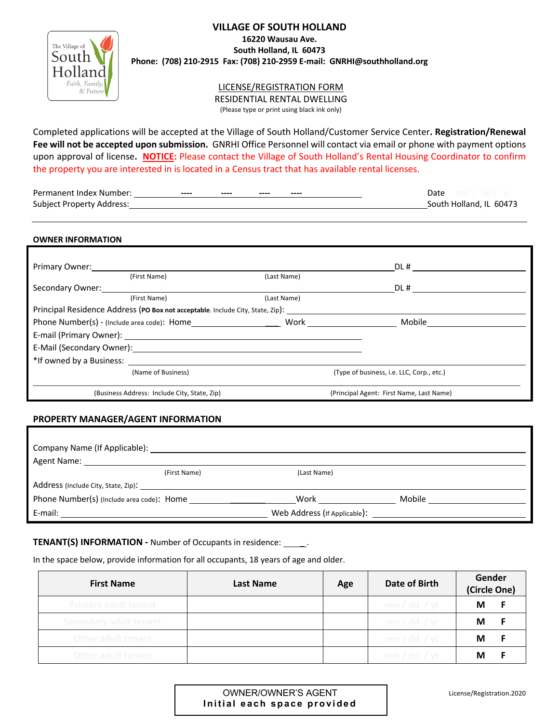## **VILLAGE OF SOUTH HOLLAND**

**16220 Wausau Ave. South Holland, IL 60473**



# **Phone: (708) 210-2915 Fax: (708) 210-2959 E-mail: GNRHI@southholland.org**

LICENSE/REGISTRATION FORM RESIDENTIAL RENTAL DWELLING

(Please type or print using black ink only)

Completed applications will be accepted at the Village of South Holland/Customer Service Center**. Registration/Renewal Fee will not be accepted upon submission.** GNRHI Office Personnel will contact via email or phone with payment options upon approval of license**. NOTICE:** Please contact the Village of South Holland's Rental Housing Coordinator to confirm the property you are interested in is located in a Census tract that has available rental licenses.

| Permanent Index Number:          | ---- | $\frac{1}{2}$ | $- - - -$ | $- - - -$ | Date                    |
|----------------------------------|------|---------------|-----------|-----------|-------------------------|
| <b>Subject Property Address:</b> |      |               |           |           | South Holland, IL 60473 |

#### **OWNER INFORMATION**

| Primary Owner:           |                                                                                                                |                                                                                         | DL#                                       |  |
|--------------------------|----------------------------------------------------------------------------------------------------------------|-----------------------------------------------------------------------------------------|-------------------------------------------|--|
|                          | (First Name)                                                                                                   | (Last Name)                                                                             |                                           |  |
| Secondary Owner:         |                                                                                                                |                                                                                         | DL#                                       |  |
|                          | (First Name)                                                                                                   | (Last Name)                                                                             |                                           |  |
|                          |                                                                                                                | Principal Residence Address (PO Box not acceptable. Include City, State, Zip): ________ |                                           |  |
|                          | Phone Number(s) - (Include area code): Home                                                                    | Work                                                                                    | Mobile                                    |  |
|                          |                                                                                                                |                                                                                         |                                           |  |
|                          | E-Mail (Secondary Owner): Management of the Contract of the Contract of the Contract of the Contract of the Co |                                                                                         |                                           |  |
| *If owned by a Business: |                                                                                                                |                                                                                         |                                           |  |
|                          | (Name of Business)                                                                                             |                                                                                         | (Type of business, i.e. LLC, Corp., etc.) |  |
|                          | (Business Address: Include City, State, Zip)                                                                   |                                                                                         | (Principal Agent: First Name, Last Name)  |  |

### **PROPERTY MANAGER/AGENT INFORMATION**

| Agent Name: Name                                       |              |             |        |
|--------------------------------------------------------|--------------|-------------|--------|
|                                                        | (First Name) | (Last Name) |        |
|                                                        |              |             |        |
| Phone Number(s) (Include area code): Home ____________ |              | Work        | Mobile |
| E-mail:                                                |              |             |        |

## **TENANT(S) INFORMATION -** Number of Occupants in residence: \_\_\_\_\_\_.

In the space below, provide information for all occupants, 18 years of age and older.

| <b>First Name</b>           | Last Name | Age | Date of Birth | Gender<br>(Circle One) |
|-----------------------------|-----------|-----|---------------|------------------------|
| <b>Primary adult tenant</b> |           |     | mm/dd / yr    | M                      |
| Secondary adult tenant      |           |     | mm/dd / yr    | M                      |
| Other adult tenant          |           |     | mm/dd / yr    | M                      |
| Other adult tenant          |           |     | mm/dd / yr    | М                      |

| OWNER/OWNER'S AGENT |  |  |                             |
|---------------------|--|--|-----------------------------|
|                     |  |  | Initial each space provided |